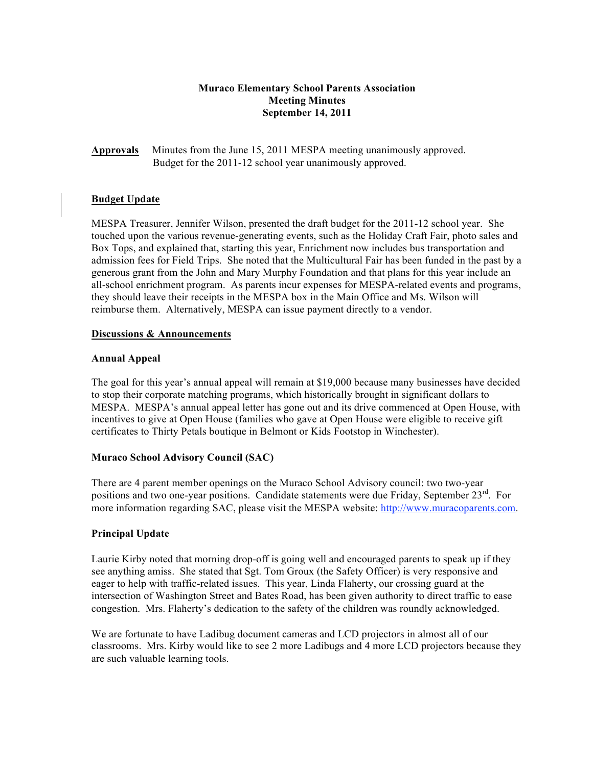## **Muraco Elementary School Parents Association Meeting Minutes September 14, 2011**

**Approvals** Minutes from the June 15, 2011 MESPA meeting unanimously approved. Budget for the 2011-12 school year unanimously approved.

## **Budget Update**

MESPA Treasurer, Jennifer Wilson, presented the draft budget for the 2011-12 school year. She touched upon the various revenue-generating events, such as the Holiday Craft Fair, photo sales and Box Tops, and explained that, starting this year, Enrichment now includes bus transportation and admission fees for Field Trips. She noted that the Multicultural Fair has been funded in the past by a generous grant from the John and Mary Murphy Foundation and that plans for this year include an all-school enrichment program. As parents incur expenses for MESPA-related events and programs, they should leave their receipts in the MESPA box in the Main Office and Ms. Wilson will reimburse them. Alternatively, MESPA can issue payment directly to a vendor.

### **Discussions & Announcements**

### **Annual Appeal**

The goal for this year's annual appeal will remain at \$19,000 because many businesses have decided to stop their corporate matching programs, which historically brought in significant dollars to MESPA. MESPA's annual appeal letter has gone out and its drive commenced at Open House, with incentives to give at Open House (families who gave at Open House were eligible to receive gift certificates to Thirty Petals boutique in Belmont or Kids Footstop in Winchester).

## **Muraco School Advisory Council (SAC)**

There are 4 parent member openings on the Muraco School Advisory council: two two-year positions and two one-year positions. Candidate statements were due Friday, September 23<sup>rd</sup>. For more information regarding SAC, please visit the MESPA website: http://www.muracoparents.com.

## **Principal Update**

Laurie Kirby noted that morning drop-off is going well and encouraged parents to speak up if they see anything amiss. She stated that Sgt. Tom Groux (the Safety Officer) is very responsive and eager to help with traffic-related issues. This year, Linda Flaherty, our crossing guard at the intersection of Washington Street and Bates Road, has been given authority to direct traffic to ease congestion. Mrs. Flaherty's dedication to the safety of the children was roundly acknowledged.

We are fortunate to have Ladibug document cameras and LCD projectors in almost all of our classrooms. Mrs. Kirby would like to see 2 more Ladibugs and 4 more LCD projectors because they are such valuable learning tools.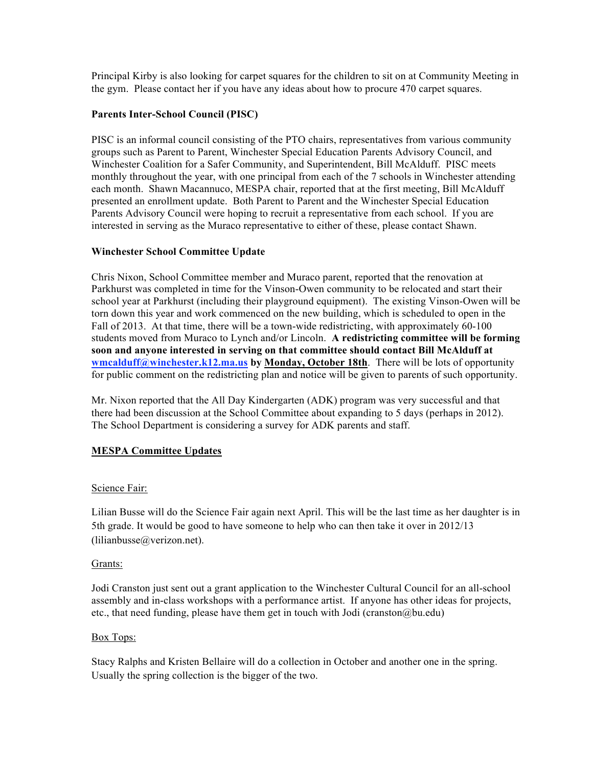Principal Kirby is also looking for carpet squares for the children to sit on at Community Meeting in the gym. Please contact her if you have any ideas about how to procure 470 carpet squares.

## **Parents Inter-School Council (PISC)**

PISC is an informal council consisting of the PTO chairs, representatives from various community groups such as Parent to Parent, Winchester Special Education Parents Advisory Council, and Winchester Coalition for a Safer Community, and Superintendent, Bill McAlduff. PISC meets monthly throughout the year, with one principal from each of the 7 schools in Winchester attending each month. Shawn Macannuco, MESPA chair, reported that at the first meeting, Bill McAlduff presented an enrollment update. Both Parent to Parent and the Winchester Special Education Parents Advisory Council were hoping to recruit a representative from each school. If you are interested in serving as the Muraco representative to either of these, please contact Shawn.

## **Winchester School Committee Update**

Chris Nixon, School Committee member and Muraco parent, reported that the renovation at Parkhurst was completed in time for the Vinson-Owen community to be relocated and start their school year at Parkhurst (including their playground equipment). The existing Vinson-Owen will be torn down this year and work commenced on the new building, which is scheduled to open in the Fall of 2013. At that time, there will be a town-wide redistricting, with approximately 60-100 students moved from Muraco to Lynch and/or Lincoln. **A redistricting committee will be forming soon and anyone interested in serving on that committee should contact Bill McAlduff at wmcalduff@winchester.k12.ma.us by Monday, October 18th**. There will be lots of opportunity for public comment on the redistricting plan and notice will be given to parents of such opportunity.

Mr. Nixon reported that the All Day Kindergarten (ADK) program was very successful and that there had been discussion at the School Committee about expanding to 5 days (perhaps in 2012). The School Department is considering a survey for ADK parents and staff.

# **MESPA Committee Updates**

## Science Fair:

Lilian Busse will do the Science Fair again next April. This will be the last time as her daughter is in 5th grade. It would be good to have someone to help who can then take it over in 2012/13 (lilianbusse@verizon.net).

## Grants:

Jodi Cranston just sent out a grant application to the Winchester Cultural Council for an all-school assembly and in-class workshops with a performance artist. If anyone has other ideas for projects, etc., that need funding, please have them get in touch with Jodi (cranston@bu.edu)

## Box Tops:

Stacy Ralphs and Kristen Bellaire will do a collection in October and another one in the spring. Usually the spring collection is the bigger of the two.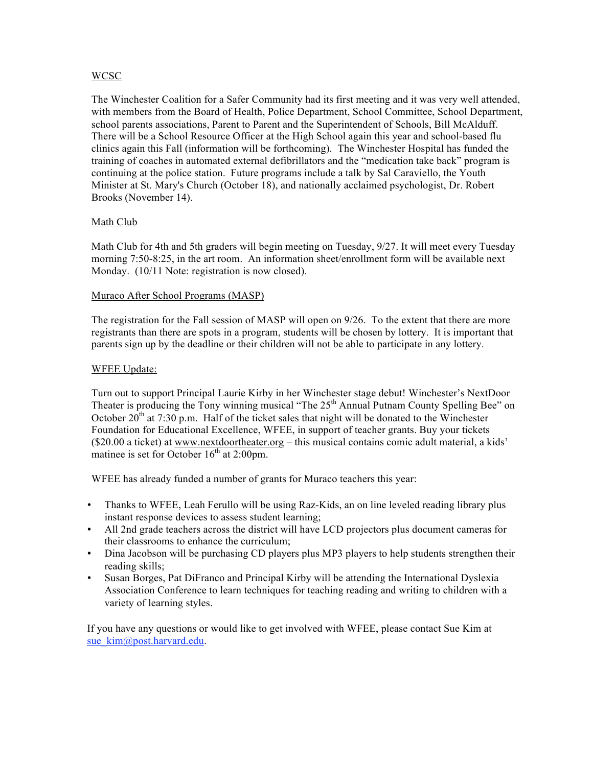## WCSC

The Winchester Coalition for a Safer Community had its first meeting and it was very well attended, with members from the Board of Health, Police Department, School Committee, School Department, school parents associations, Parent to Parent and the Superintendent of Schools, Bill McAlduff. There will be a School Resource Officer at the High School again this year and school-based flu clinics again this Fall (information will be forthcoming). The Winchester Hospital has funded the training of coaches in automated external defibrillators and the "medication take back" program is continuing at the police station. Future programs include a talk by Sal Caraviello, the Youth Minister at St. Mary's Church (October 18), and nationally acclaimed psychologist, Dr. Robert Brooks (November 14).

# Math Club

Math Club for 4th and 5th graders will begin meeting on Tuesday, 9/27. It will meet every Tuesday morning 7:50-8:25, in the art room. An information sheet/enrollment form will be available next Monday. (10/11 Note: registration is now closed).

## Muraco After School Programs (MASP)

The registration for the Fall session of MASP will open on 9/26. To the extent that there are more registrants than there are spots in a program, students will be chosen by lottery. It is important that parents sign up by the deadline or their children will not be able to participate in any lottery.

## WFEE Update:

Turn out to support Principal Laurie Kirby in her Winchester stage debut! Winchester's NextDoor Theater is producing the Tony winning musical "The  $25<sup>th</sup>$  Annual Putnam County Spelling Bee" on October  $20^{th}$  at 7:30 p.m. Half of the ticket sales that night will be donated to the Winchester Foundation for Educational Excellence, WFEE, in support of teacher grants. Buy your tickets (\$20.00 a ticket) at www.nextdoortheater.org – this musical contains comic adult material, a kids' matinee is set for October  $16<sup>th</sup>$  at 2:00pm.

WFEE has already funded a number of grants for Muraco teachers this year:

- Thanks to WFEE, Leah Ferullo will be using Raz-Kids, an on line leveled reading library plus instant response devices to assess student learning;
- All 2nd grade teachers across the district will have LCD projectors plus document cameras for their classrooms to enhance the curriculum;
- Dina Jacobson will be purchasing CD players plus MP3 players to help students strengthen their reading skills;
- Susan Borges, Pat DiFranco and Principal Kirby will be attending the International Dyslexia Association Conference to learn techniques for teaching reading and writing to children with a variety of learning styles.

If you have any questions or would like to get involved with WFEE, please contact Sue Kim at sue\_kim@post.harvard.edu.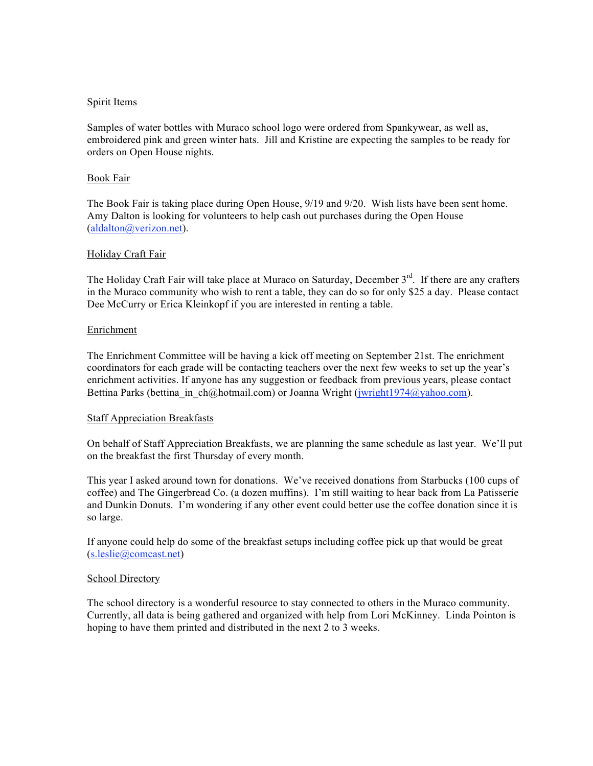### Spirit Items

Samples of water bottles with Muraco school logo were ordered from Spankywear, as well as, embroidered pink and green winter hats. Jill and Kristine are expecting the samples to be ready for orders on Open House nights.

### Book Fair

The Book Fair is taking place during Open House, 9/19 and 9/20. Wish lists have been sent home. Amy Dalton is looking for volunteers to help cash out purchases during the Open House (aldalton@verizon.net).

### Holiday Craft Fair

The Holiday Craft Fair will take place at Muraco on Saturday, December 3<sup>rd</sup>. If there are any crafters in the Muraco community who wish to rent a table, they can do so for only \$25 a day. Please contact Dee McCurry or Erica Kleinkopf if you are interested in renting a table.

### **Enrichment**

The Enrichment Committee will be having a kick off meeting on September 21st. The enrichment coordinators for each grade will be contacting teachers over the next few weeks to set up the year's enrichment activities. If anyone has any suggestion or feedback from previous years, please contact Bettina Parks (bettina in ch@hotmail.com) or Joanna Wright (jwright1974@yahoo.com).

#### Staff Appreciation Breakfasts

On behalf of Staff Appreciation Breakfasts, we are planning the same schedule as last year. We'll put on the breakfast the first Thursday of every month.

This year I asked around town for donations. We've received donations from Starbucks (100 cups of coffee) and The Gingerbread Co. (a dozen muffins). I'm still waiting to hear back from La Patisserie and Dunkin Donuts. I'm wondering if any other event could better use the coffee donation since it is so large.

If anyone could help do some of the breakfast setups including coffee pick up that would be great (s.leslie@comcast.net)

#### School Directory

The school directory is a wonderful resource to stay connected to others in the Muraco community. Currently, all data is being gathered and organized with help from Lori McKinney. Linda Pointon is hoping to have them printed and distributed in the next 2 to 3 weeks.